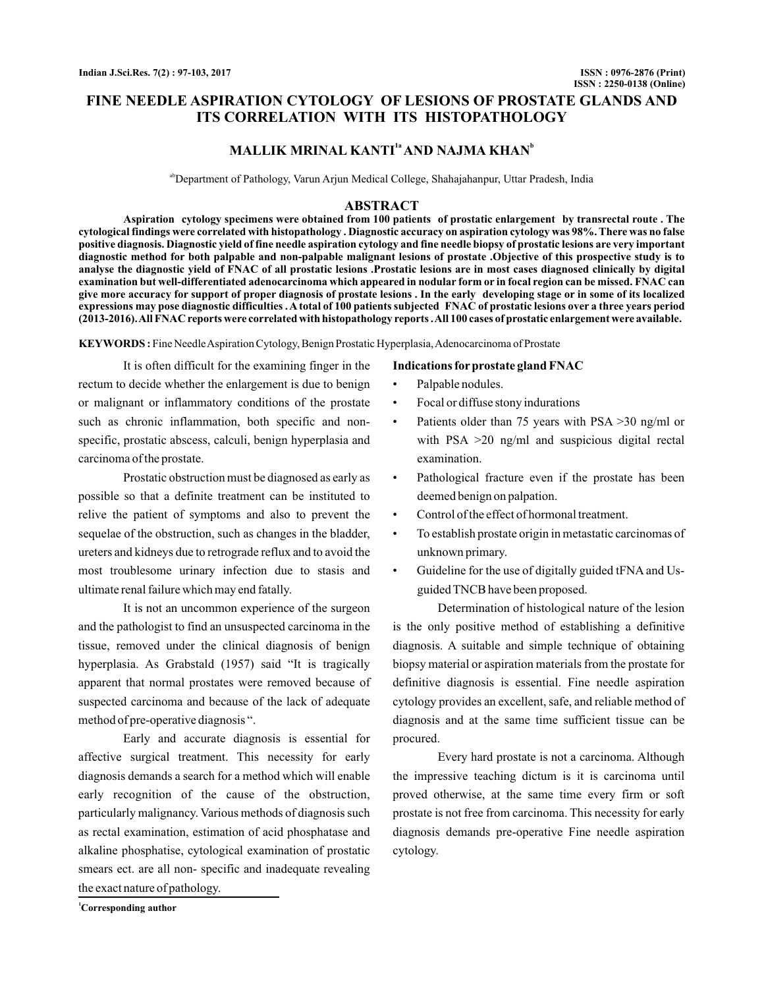# **FINE NEEDLE ASPIRATION CYTOLOGY OF LESIONS OF PROSTATE GLANDS AND ITS CORRELATION WITH ITS HISTOPATHOLOGY**

# **MALLIK MRINAL KANTI<sup>1a</sup> AND NAJMA KHAN<sup>b</sup>**

<sup>ab</sup>Department of Pathology, Varun Arjun Medical College, Shahajahanpur, Uttar Pradesh, India

#### **ABSTRACT**

**Aspiration cytology specimens were obtained from 100 patients of prostatic enlargement by transrectal route . The cytological findings were correlated with histopathology . Diagnostic accuracy on aspiration cytology was 98%. There was no false positive diagnosis. Diagnostic yield of fine needle aspiration cytology and fine needle biopsy of prostatic lesions are very important diagnostic method for both palpable and non-palpable malignant lesions of prostate .Objective of this prospective study is to analyse the diagnostic yield of FNAC of all prostatic lesions .Prostatic lesions are in most cases diagnosed clinically by digital examination but well-differentiated adenocarcinoma which appeared in nodular form or in focal region can be missed. FNAC can give more accuracy for support of proper diagnosis of prostate lesions . In the early developing stage or in some of its localized expressions may pose diagnostic difficulties . A total of 100 patients subjected FNAC of prostatic lesions over a three years period (2013-2016).All FNAC reports were correlated with histopathology reports .All 100 cases of prostatic enlargement were available.**

KEYWORDS: Fine Needle Aspiration Cytology, Benign Prostatic Hyperplasia, Adenocarcinoma of Prostate

It is often difficult for the examining finger in the rectum to decide whether the enlargement is due to benign or malignant or inflammatory conditions of the prostate such as chronic inflammation, both specific and nonspecific, prostatic abscess, calculi, benign hyperplasia and carcinoma of the prostate.

Prostatic obstruction must be diagnosed as early as possible so that a definite treatment can be instituted to relive the patient of symptoms and also to prevent the sequelae of the obstruction, such as changes in the bladder, ureters and kidneys due to retrograde reflux and to avoid the most troublesome urinary infection due to stasis and ultimate renal failure which may end fatally.

It is not an uncommon experience of the surgeon and the pathologist to find an unsuspected carcinoma in the tissue, removed under the clinical diagnosis of benign hyperplasia. As Grabstald (1957) said "It is tragically apparent that normal prostates were removed because of suspected carcinoma and because of the lack of adequate method of pre-operative diagnosis ".

Early and accurate diagnosis is essential for affective surgical treatment. This necessity for early diagnosis demands a search for a method which will enable early recognition of the cause of the obstruction, particularly malignancy. Various methods of diagnosis such as rectal examination, estimation of acid phosphatase and alkaline phosphatise, cytological examination of prostatic smears ect. are all non- specific and inadequate revealing the exact nature of pathology.

**Indications for prostate gland FNAC**

- Palpable nodules.
- Focal or diffuse stony indurations
- Patients older than 75 years with PSA >30 ng/ml or with PSA  $>20$  ng/ml and suspicious digital rectal examination.
- Pathological fracture even if the prostate has been deemed benign on palpation.
- Control of the effect of hormonal treatment.
- To establish prostate origin in metastatic carcinomas of unknown primary.
- Guideline for the use of digitally guided tFNA and Usguided TNCB have been proposed.

Determination of histological nature of the lesion is the only positive method of establishing a definitive diagnosis. A suitable and simple technique of obtaining biopsy material or aspiration materials from the prostate for definitive diagnosis is essential. Fine needle aspiration cytology provides an excellent, safe, and reliable method of diagnosis and at the same time sufficient tissue can be procured.

Every hard prostate is not a carcinoma. Although the impressive teaching dictum is it is carcinoma until proved otherwise, at the same time every firm or soft prostate is not free from carcinoma. This necessity for early diagnosis demands pre-operative Fine needle aspiration cytology.

**<sup>1</sup>Corresponding author**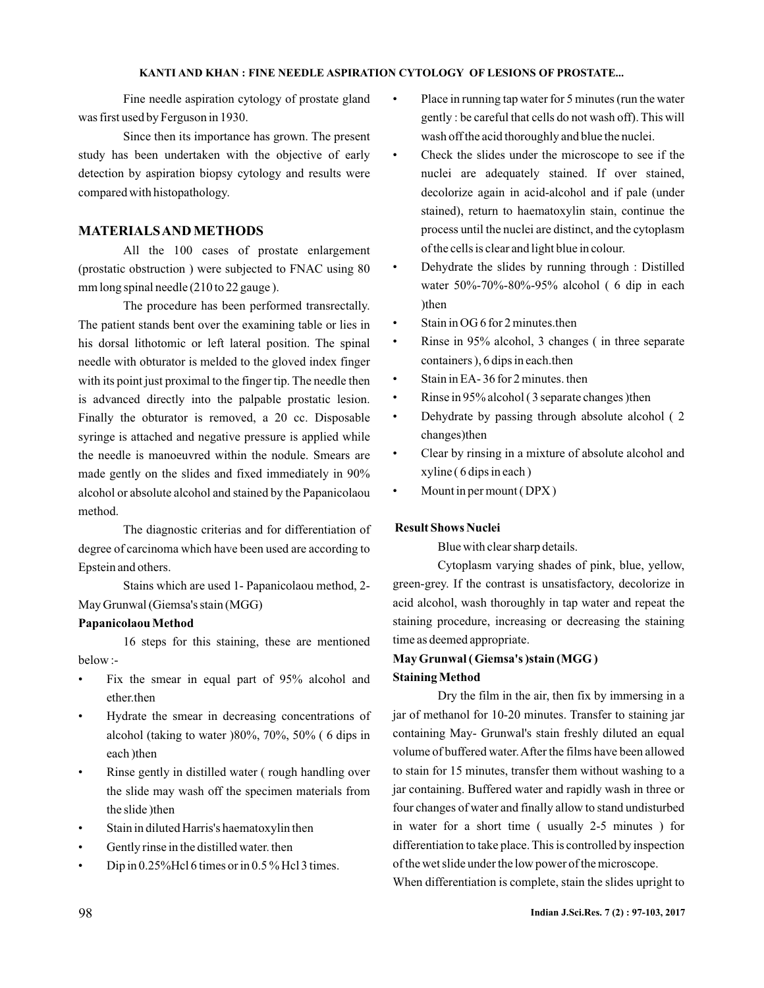Fine needle aspiration cytology of prostate gland was first used by Ferguson in 1930.

Since then its importance has grown. The present study has been undertaken with the objective of early detection by aspiration biopsy cytology and results were compared with histopathology.

## **MATERIALSAND METHODS**

All the 100 cases of prostate enlargement (prostatic obstruction ) were subjected to FNAC using 80 mm long spinal needle (210 to 22 gauge ).

The procedure has been performed transrectally. The patient stands bent over the examining table or lies in his dorsal lithotomic or left lateral position. The spinal needle with obturator is melded to the gloved index finger with its point just proximal to the finger tip. The needle then is advanced directly into the palpable prostatic lesion. Finally the obturator is removed, a 20 cc. Disposable syringe is attached and negative pressure is applied while the needle is manoeuvred within the nodule. Smears are made gently on the slides and fixed immediately in 90% alcohol or absolute alcohol and stained by the Papanicolaou method.

The diagnostic criterias and for differentiation of degree of carcinoma which have been used are according to Epstein and others.

Stains which are used 1- Papanicolaou method, 2- May Grunwal (Giemsa's stain (MGG)

#### **Papanicolaou Method**

16 steps for this staining, these are mentioned below :-

- Fix the smear in equal part of 95% alcohol and ether.then
- Hydrate the smear in decreasing concentrations of alcohol (taking to water )80%, 70%, 50% ( 6 dips in each )then
- Rinse gently in distilled water (rough handling over the slide may wash off the specimen materials from the slide )then
- Stain in diluted Harris's haematoxylin then
- Gently rinse in the distilled water, then
- Dip in  $0.25\%$  Hcl 6 times or in  $0.5\%$  Hcl 3 times.
- Place in running tap water for 5 minutes (run the water gently : be careful that cells do not wash off). This will wash off the acid thoroughly and blue the nuclei.
- Check the slides under the microscope to see if the nuclei are adequately stained. If over stained, decolorize again in acid-alcohol and if pale (under stained), return to haematoxylin stain, continue the process until the nuclei are distinct, and the cytoplasm of the cells is clear and light blue in colour.
- Dehydrate the slides by running through : Distilled water 50%-70%-80%-95% alcohol ( 6 dip in each )then
- Stain in OG 6 for 2 minutes, then
- Rinse in 95% alcohol, 3 changes (in three separate containers ), 6 dips in each.then
- Stain in EA-36 for 2 minutes. then
- Rinse in 95% alcohol (3 separate changes ) then
- Dehydrate by passing through absolute alcohol ( 2 changes)then
- Clear by rinsing in a mixture of absolute alcohol and xyline ( 6 dips in each )
- Mount in per mount ( DPX )

## **Result Shows Nuclei**

Blue with clear sharp details.

Cytoplasm varying shades of pink, blue, yellow, green-grey. If the contrast is unsatisfactory, decolorize in acid alcohol, wash thoroughly in tap water and repeat the staining procedure, increasing or decreasing the staining time as deemed appropriate.

# **May Grunwal ( Giemsa's )stain (MGG ) Staining Method**

Dry the film in the air, then fix by immersing in a jar of methanol for 10-20 minutes. Transfer to staining jar containing May- Grunwal's stain freshly diluted an equal volume of buffered water.After the films have been allowed to stain for 15 minutes, transfer them without washing to a jar containing. Buffered water and rapidly wash in three or four changes of water and finally allow to stand undisturbed in water for a short time ( usually 2-5 minutes ) for differentiation to take place. This is controlled by inspection of the wet slide under the low power of the microscope.

When differentiation is complete, stain the slides upright to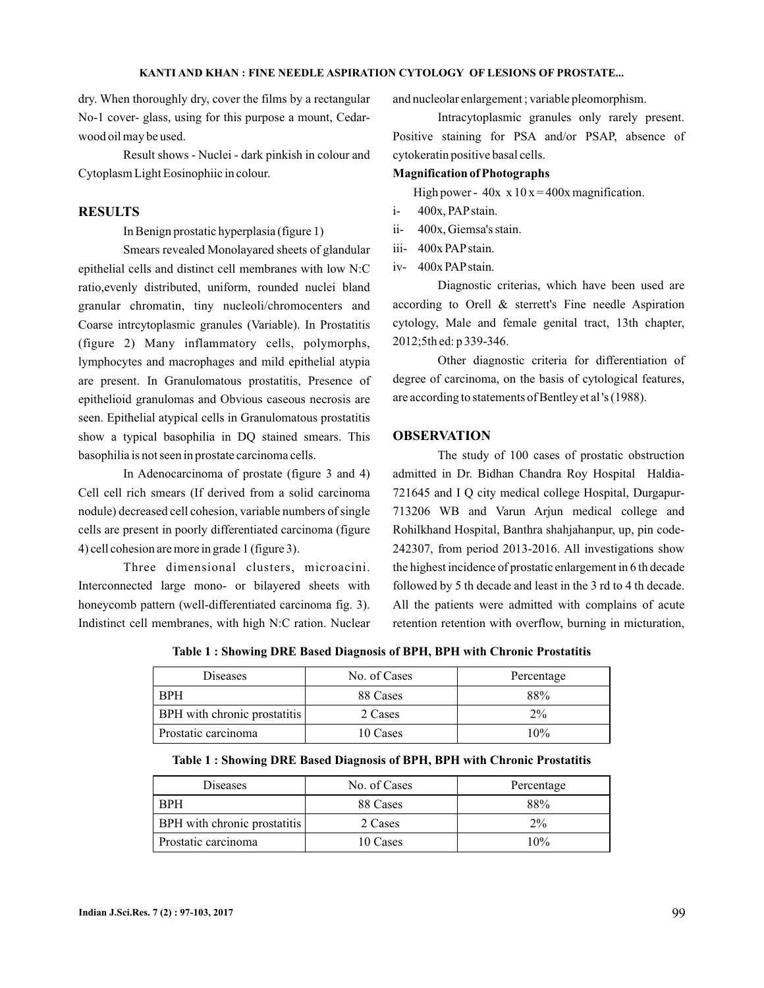dry. When thoroughly dry, cover the films by a rectangular No-1 cover- glass, using for this purpose a mount, Cedarwood oil may be used.

Result shows - Nuclei - dark pinkish in colour and Cytoplasm Light Eosinophiic in colour.

### **RESULTS**

In Benign prostatic hyperplasia (figure 1)

Smears revealed Monolayared sheets of glandular epithelial cells and distinct cell membranes with low N:C ratio,evenly distributed, uniform, rounded nuclei bland granular chromatin, tiny nucleoli/chromocenters and Coarse intrcytoplasmic granules (Variable). In Prostatitis (figure 2) Many inflammatory cells, polymorphs, lymphocytes and macrophages and mild epithelial atypia are present. In Granulomatous prostatitis, Presence of epithelioid granulomas and Obvious caseous necrosis are seen. Epithelial atypical cells in Granulomatous prostatitis show a typical basophilia in DQ stained smears. This basophilia is not seen in prostate carcinoma cells.

In Adenocarcinoma of prostate (figure 3 and 4) Cell cell rich smears (If derived from a solid carcinoma nodule) decreased cell cohesion, variable numbers of single cells are present in poorly differentiated carcinoma (figure 4) cell cohesion are more in grade 1 (figure 3).

Three dimensional clusters, microacini. Interconnected large mono- or bilayered sheets with honeycomb pattern (well-differentiated carcinoma fig. 3). Indistinct cell membranes, with high N:C ration. Nuclear and nucleolar enlargement ; variable pleomorphism.

Intracytoplasmic granules only rarely present. Positive staining for PSA and/or PSAP, absence of cytokeratin positive basal cells.

#### **Magnification of Photographs**

High power -  $40x \times 10x = 400x$  magnification.

- i- 400x, PAPstain.
- ii- 400x, Giemsa's stain.
- iii- 400x PAPstain.
- iv- 400x PAPstain.

Diagnostic criterias, which have been used are according to Orell & sterrett's Fine needle Aspiration cytology, Male and female genital tract, 13th chapter, 2012;5th ed: p 339-346.

Other diagnostic criteria for differentiation of degree of carcinoma, on the basis of cytological features, are according to statements of Bentley et al 's (1988).

#### **OBSERVATION**

The study of 100 cases of prostatic obstruction admitted in Dr. Bidhan Chandra Roy Hospital Haldia-721645 and I Q city medical college Hospital, Durgapur-713206 WB and Varun Arjun medical college and Rohilkhand Hospital, Banthra shahjahanpur, up, pin code-242307, from period 2013-2016. All investigations show the highest incidence of prostatic enlargement in 6 th decade followed by 5 th decade and least in the 3 rd to 4 th decade. All the patients were admitted with complains of acute retention retention with overflow, burning in micturation,

**Table 1 : Showing DRE Based Diagnosis of BPH, BPH with Chronic Prostatitis**

| <b>Diseases</b>              | No. of Cases | Percentage |
|------------------------------|--------------|------------|
| <b>RPH</b>                   | 88 Cases     | 88%        |
| BPH with chronic prostatitis | 2 Cases      | $2\%$      |
| Prostatic carcinoma          | 10 Cases     | 10%        |

**Table 1 : Showing DRE Based Diagnosis of BPH, BPH with Chronic Prostatitis**

| <b>Diseases</b>              | No. of Cases | Percentage |
|------------------------------|--------------|------------|
| <b>BPH</b>                   | 88 Cases     | 88%        |
| BPH with chronic prostatitis | 2 Cases      | $2\%$      |
| Prostatic carcinoma          | 10 Cases     | 10%        |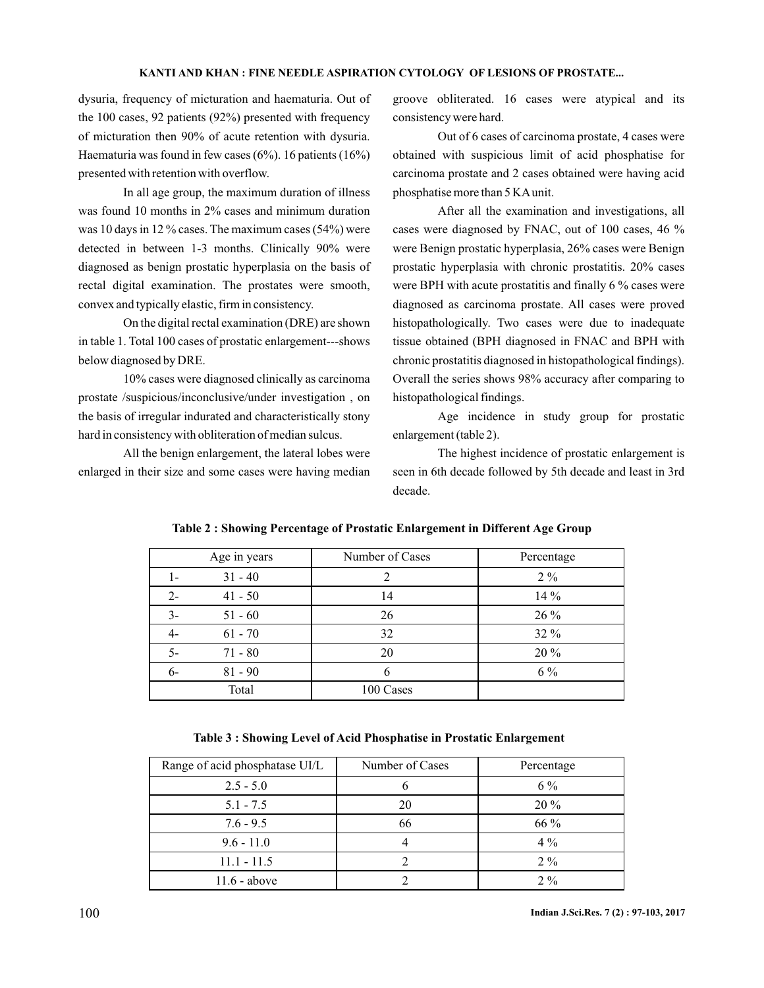dysuria, frequency of micturation and haematuria. Out of the 100 cases, 92 patients (92%) presented with frequency of micturation then 90% of acute retention with dysuria. Haematuria was found in few cases (6%). 16 patients (16%) presented with retention with overflow.

In all age group, the maximum duration of illness was found 10 months in 2% cases and minimum duration was 10 days in 12 % cases. The maximum cases (54%) were detected in between 1-3 months. Clinically 90% were diagnosed as benign prostatic hyperplasia on the basis of rectal digital examination. The prostates were smooth, convex and typically elastic, firm in consistency.

On the digital rectal examination (DRE) are shown in table 1. Total 100 cases of prostatic enlargement---shows below diagnosed by DRE.

10% cases were diagnosed clinically as carcinoma prostate /suspicious/inconclusive/under investigation , on the basis of irregular indurated and characteristically stony hard in consistency with obliteration of median sulcus.

All the benign enlargement, the lateral lobes were enlarged in their size and some cases were having median

groove obliterated. 16 cases were atypical and its consistency were hard.

Out of 6 cases of carcinoma prostate, 4 cases were obtained with suspicious limit of acid phosphatise for carcinoma prostate and 2 cases obtained were having acid phosphatise more than 5 KAunit.

After all the examination and investigations, all cases were diagnosed by FNAC, out of 100 cases, 46 % were Benign prostatic hyperplasia, 26% cases were Benign prostatic hyperplasia with chronic prostatitis. 20% cases were BPH with acute prostatitis and finally 6 % cases were diagnosed as carcinoma prostate. All cases were proved histopathologically. Two cases were due to inadequate tissue obtained (BPH diagnosed in FNAC and BPH with chronic prostatitis diagnosed in histopathological findings). Overall the series shows 98% accuracy after comparing to histopathological findings.

Age incidence in study group for prostatic enlargement (table 2).

The highest incidence of prostatic enlargement is seen in 6th decade followed by 5th decade and least in 3rd decade.

|       | Age in years | Number of Cases | Percentage |
|-------|--------------|-----------------|------------|
| 1-    | $31 - 40$    |                 | $2\%$      |
| $2 -$ | $41 - 50$    | 14              | 14 %       |
| $3-$  | $51 - 60$    | 26              | 26 %       |
| 4-    | $61 - 70$    | 32              | 32 %       |
| $5-$  | $71 - 80$    | 20              | 20 %       |
| $6-$  | $81 - 90$    |                 | $6\%$      |
|       | Total        | 100 Cases       |            |

#### **Table 2 : Showing Percentage of Prostatic Enlargement in Different Age Group**

**Table 3 : Showing Level of Acid Phosphatise in Prostatic Enlargement**

| Range of acid phosphatase UI/L | Number of Cases | Percentage |
|--------------------------------|-----------------|------------|
| $2.5 - 5.0$                    | h               | $6\%$      |
| $5.1 - 7.5$                    | 20              | $20\%$     |
| $7.6 - 9.5$                    | 66              | 66 %       |
| $9.6 - 11.0$                   |                 | $4\%$      |
| $11.1 - 11.5$                  |                 | $2\%$      |
| $11.6 - above$                 |                 | $2\%$      |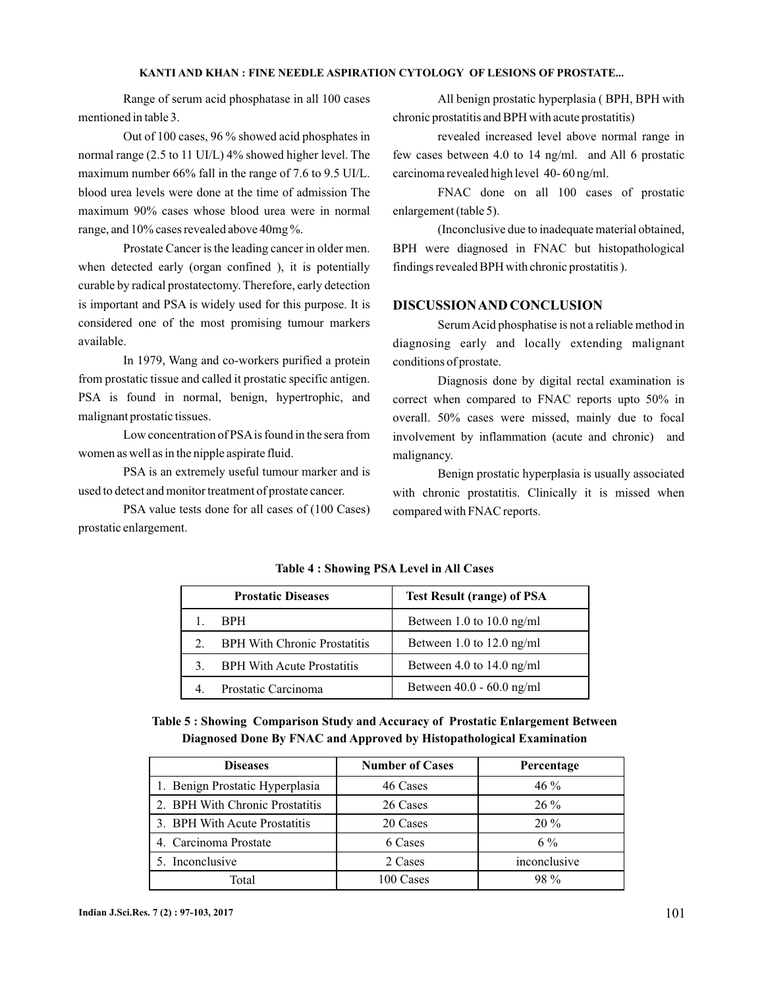Range of serum acid phosphatase in all 100 cases mentioned in table 3.

Out of 100 cases, 96 % showed acid phosphates in normal range (2.5 to 11 UI/L) 4% showed higher level. The maximum number 66% fall in the range of 7.6 to 9.5 UI/L. blood urea levels were done at the time of admission The maximum 90% cases whose blood urea were in normal range, and 10% cases revealed above 40mg %.

Prostate Cancer is the leading cancer in older men. when detected early (organ confined ), it is potentially curable by radical prostatectomy. Therefore, early detection is important and PSA is widely used for this purpose. It is considered one of the most promising tumour markers available.

In 1979, Wang and co-workers purified a protein from prostatic tissue and called it prostatic specific antigen. PSA is found in normal, benign, hypertrophic, and malignant prostatic tissues.

Low concentration of PSA is found in the sera from women as well as in the nipple aspirate fluid.

PSA is an extremely useful tumour marker and is used to detect and monitor treatment of prostate cancer.

PSA value tests done for all cases of (100 Cases) prostatic enlargement.

All benign prostatic hyperplasia ( BPH, BPH with chronic prostatitis and BPH with acute prostatitis)

revealed increased level above normal range in few cases between 4.0 to 14 ng/ml. and All 6 prostatic carcinoma revealed high level 40- 60 ng/ml.

FNAC done on all 100 cases of prostatic enlargement (table 5).

(Inconclusive due to inadequate material obtained, BPH were diagnosed in FNAC but histopathological findings revealed BPH with chronic prostatitis ).

## **DISCUSSIONAND CONCLUSION**

SerumAcid phosphatise is not a reliable method in diagnosing early and locally extending malignant conditions of prostate.

Diagnosis done by digital rectal examination is correct when compared to FNAC reports upto 50% in overall. 50% cases were missed, mainly due to focal involvement by inflammation (acute and chronic) and malignancy.

Benign prostatic hyperplasia is usually associated with chronic prostatitis. Clinically it is missed when compared with FNAC reports.

|                | <b>Prostatic Diseases</b>           | <b>Test Result (range) of PSA</b> |
|----------------|-------------------------------------|-----------------------------------|
|                | <b>BPH</b>                          | Between 1.0 to 10.0 ng/ml         |
| 2.             | <b>BPH With Chronic Prostatitis</b> | Between 1.0 to 12.0 ng/ml         |
| 3 <sub>1</sub> | <b>BPH With Acute Prostatitis</b>   | Between 4.0 to 14.0 ng/ml         |
|                | Prostatic Carcinoma                 | Between $40.0 - 60.0$ ng/ml       |

**Table 4 : Showing PSA Level in All Cases**

# **Table 5 : Showing Comparison Study and Accuracy of Prostatic Enlargement Between Diagnosed Done By FNAC and Approved by Histopathological Examination**

| <b>Diseases</b>                 | <b>Number of Cases</b> | Percentage   |
|---------------------------------|------------------------|--------------|
| 1. Benign Prostatic Hyperplasia | 46 Cases               | $46\%$       |
| 2. BPH With Chronic Prostatitis | 26 Cases               | $26\%$       |
| 3. BPH With Acute Prostatitis   | 20 Cases               | $20\%$       |
| 4. Carcinoma Prostate           | 6 Cases                | $6\%$        |
| 5. Inconclusive                 | 2 Cases                | inconclusive |
| Total                           | 100 Cases              | $98\%$       |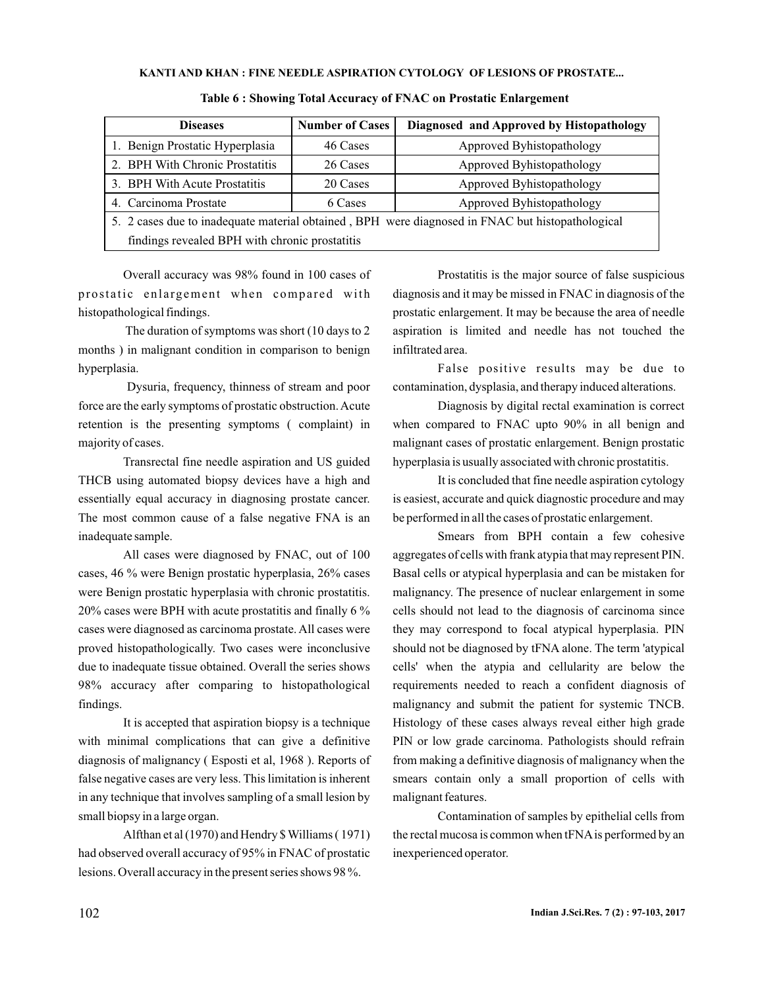| <b>Diseases</b>                                                                                  | <b>Number of Cases</b> | Diagnosed and Approved by Histopathology |  |
|--------------------------------------------------------------------------------------------------|------------------------|------------------------------------------|--|
| 1. Benign Prostatic Hyperplasia                                                                  | 46 Cases               | Approved Byhistopathology                |  |
| 2. BPH With Chronic Prostatitis                                                                  | 26 Cases               | Approved Byhistopathology                |  |
| 3. BPH With Acute Prostatitis                                                                    | 20 Cases               | Approved Byhistopathology                |  |
| 4. Carcinoma Prostate                                                                            | 6 Cases                | Approved Byhistopathology                |  |
| 5. 2 cases due to inadequate material obtained, BPH were diagnosed in FNAC but histopathological |                        |                                          |  |
| findings revealed BPH with chronic prostatitis                                                   |                        |                                          |  |

#### **Table 6 : Showing Total Accuracy of FNAC on Prostatic Enlargement**

Overall accuracy was 98% found in 100 cases of prostatic enlargement when compared with histopathological findings.

The duration of symptoms was short (10 days to 2 months ) in malignant condition in comparison to benign hyperplasia.

Dysuria, frequency, thinness of stream and poor force are the early symptoms of prostatic obstruction.Acute retention is the presenting symptoms ( complaint) in majority of cases.

Transrectal fine needle aspiration and US guided THCB using automated biopsy devices have a high and essentially equal accuracy in diagnosing prostate cancer. The most common cause of a false negative FNA is an inadequate sample.

All cases were diagnosed by FNAC, out of 100 cases, 46 % were Benign prostatic hyperplasia, 26% cases were Benign prostatic hyperplasia with chronic prostatitis. 20% cases were BPH with acute prostatitis and finally 6 % cases were diagnosed as carcinoma prostate. All cases were proved histopathologically. Two cases were inconclusive due to inadequate tissue obtained. Overall the series shows 98% accuracy after comparing to histopathological findings.

It is accepted that aspiration biopsy is a technique with minimal complications that can give a definitive diagnosis of malignancy ( Esposti et al, 1968 ). Reports of false negative cases are very less. This limitation is inherent in any technique that involves sampling of a small lesion by small biopsy in a large organ.

Alfthan et al (1970) and Hendry \$ Williams ( 1971) had observed overall accuracy of 95% in FNAC of prostatic lesions. Overall accuracy in the present series shows 98 %.

Prostatitis is the major source of false suspicious diagnosis and it may be missed in FNAC in diagnosis of the prostatic enlargement. It may be because the area of needle aspiration is limited and needle has not touched the infiltrated area.

False positive results may be due to contamination, dysplasia, and therapy induced alterations.

Diagnosis by digital rectal examination is correct when compared to FNAC upto 90% in all benign and malignant cases of prostatic enlargement. Benign prostatic hyperplasia is usually associated with chronic prostatitis.

It is concluded that fine needle aspiration cytology is easiest, accurate and quick diagnostic procedure and may be performed in all the cases of prostatic enlargement.

Smears from BPH contain a few cohesive aggregates of cells with frank atypia that may represent PIN. Basal cells or atypical hyperplasia and can be mistaken for malignancy. The presence of nuclear enlargement in some cells should not lead to the diagnosis of carcinoma since they may correspond to focal atypical hyperplasia. PIN should not be diagnosed by tFNA alone. The term 'atypical cells' when the atypia and cellularity are below the requirements needed to reach a confident diagnosis of malignancy and submit the patient for systemic TNCB. Histology of these cases always reveal either high grade PIN or low grade carcinoma. Pathologists should refrain from making a definitive diagnosis of malignancy when the smears contain only a small proportion of cells with malignant features.

Contamination of samples by epithelial cells from the rectal mucosa is common when tFNAis performed by an inexperienced operator.